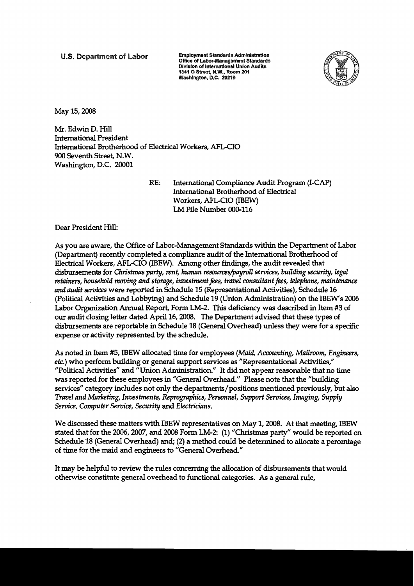**U.S. Department of Labor Employment Standards Administration** *Office of Labor-Management Standards* **Division of International Union Audits 1341 G Street, N.W., Room 201** Washington, D.C. 20210



May 15,2008

Mr. Edwin D. Hill International President International Brotherhood of Electrical Workers, AFLCIO 900 Seventh Street, N. W. Washington, D.C. 20001

> RE: International Compliance Audit Program (I-CAP) International Brotherhood of Electrical Workers, AFL-CIO (IBEW) LM File **Number** 000-116

Dear President Hill:

As you are aware, the Office of Labor-Management Standards within the Department of Labor (Department) recently completed a compliance audit of the International Brotherhood of Electrical Workers, AFL-CIO (IBEW). Among other **findings,** the audit revealed that disbursements for Christmas party, rent, human resources/payroll services, building security, legal retainers, household moving and storage, investment fees, travel consultant fees, telephone, maintenance and audit senices were reported in Schedule 15 (Representational Activities), Schedule 16 (Political Activities and Lobbymg) and Schedule 19 (Union Administration) on the IBEW's 2006 Labor Organization Annual Report, Form LM-2. **This** deficiency was described in Item **#3** of our audit closing letter dated April 16,2008. The Department advised that these types of disbursements are reportable in Schedule 18 (General Overhead) unless they were for a specific expense or activity represented by the schedule.

As noted in Item #5, IBEW allocated time for employees *(Maid, Accounting, Mailroom, Engineers*, etc.) who perform building or general support services as "Representational Activities," "Political Activities" and "Union Administration." It did not appear reasonable that no time was reported for these employees in "General Overhead." Please note that the "building services" category includes not only the departments/positions mentioned previously, but **also**  Travel and Marketing, Investments, Reprographics, Personnel, Support Services, Imaging, Supply *Senice,* Computer Sewice, Security and Electricians.

We discussed these matters with IBEW representatives on May 1, 2008. At that meeting, IBEW stated that for the 2006,2007, and 2008 Form LM-2: (1) "Christmas party" would be reported on Schedule 18 (General Overhead) and; (2) a method could be determined to allocate a percentage of time for the maid and engineers to "General Overhead."

It may be helpful to review the rules concerning the allocation of disbursements that would otherwise constitute general overhead to functional categories. As a general rule,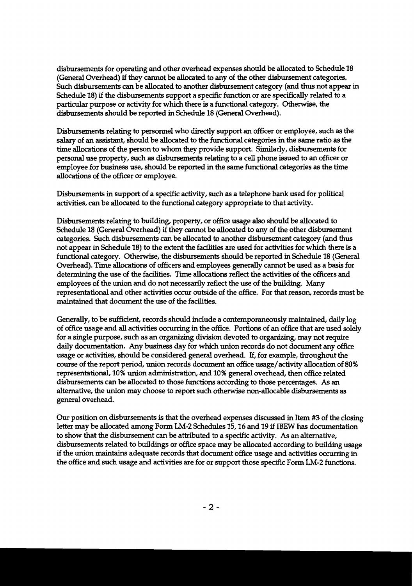disbursements for operating and other overhead expenses should be allocated to Schedule 18 (General Overhead) if they cannot be allocated to any of the other disbursement categories. Such disbursements can be allocated to another disbursement category (and **thus** not appear in Schedule 18) if the disbursements support a specific function or are specifically related to a particular purpose or activity for which there is a functional category. Otherwise, the disbursements should be reported in Schedule 18 (General Overhead).

Disbursements relating to personnel who directly support an officer or employee, such as the salary of an assistant, should be allocated to the functional categories in the same ratio as the time allocations of the person to whom they provide support. Similarly, disbursements for personal use property, such as disbursements relating to a cell phone issued to an officer or employee for business **use,** should be reported in the same functional categories as the time allocations of the officer or employee.

Disbursements in support of a specific activity, such as a telephone bank used for political activities, can be allocated to the functional category appropriate to that activity.

Disbursements relating to building, property, or office usage also should be allocated to Schedule 18 (General Overhead) if they cannot be allocated to any of the other disbursement categories. Such disbursements can be allocated to another disbursement category (and **thus**  not appear in Schedule 18) to the extent the facilities are used for activities for which there is a functional category. Otherwise, the disbursements should be reported in Schedule 18 (General Overhead). Time allocations of officers and employees generally cannot be used as a basis for determining the use of the facilities. Time allocations reflect the activities of the officers and employees of the union and do not necessarily reflect the use of the building. Many representational and other activities occur outside of the office. For that reason, records must be maintained that document the use of the facilities.

Generally, to be sufficient, records should include a contemporaneously maintained, daily log of office usage and all activities occurring in the office. Portions of an office that are used solely for a single purpose, such as an organizing division devoted to organizing, may not require daily documentation. Any business day for which union records do not document any office usage or activities, should be considered general overhead. If, for example, throughout the course of the report period, union records document an office usage/activity allocation of 80% representational, 10% union administration, and 10% general overhead, then office related disbursements can be allocated to those functions according to those percentages. As an alternative, the union may choose to report such otherwise non-allocable disbursements as general overhead.

**Our** position on disbursements is that the overhead expenses discussed in Item **#3** of the closing letter may be allocated among Form LM-2 Schedules 15, 16 and 19 if IBEW has documentation to show that the disbursement can be attributed to a specific activity. As an alternative, disbursements related to buildings or office space may be allocated according to building usage if the union maintains adequate records that document office usage and activities occurring in the office and such usage and activities are for or support those specific Form LM-2 functions.